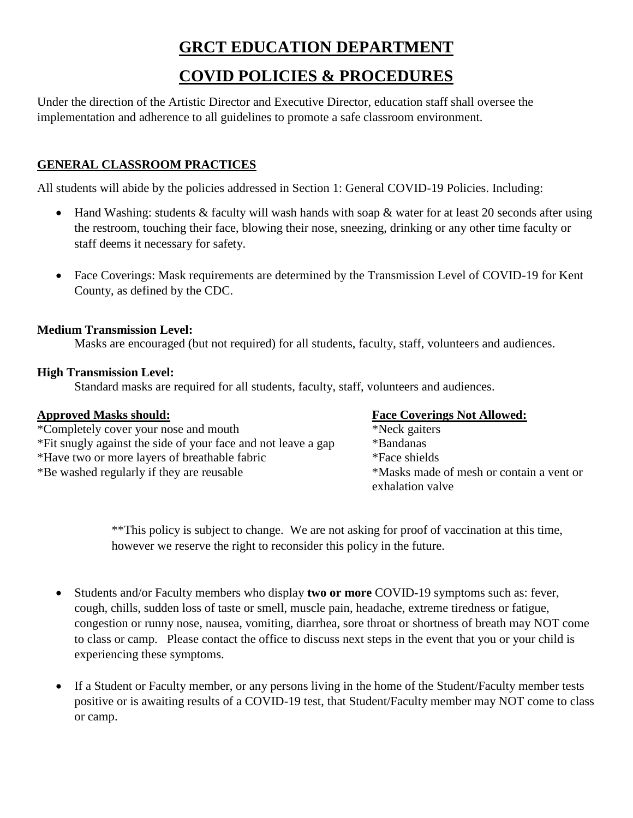# **GRCT EDUCATION DEPARTMENT**

## **COVID POLICIES & PROCEDURES**

Under the direction of the Artistic Director and Executive Director, education staff shall oversee the implementation and adherence to all guidelines to promote a safe classroom environment.

### **GENERAL CLASSROOM PRACTICES**

All students will abide by the policies addressed in Section 1: General COVID-19 Policies. Including:

- Hand Washing: students & faculty will wash hands with soap & water for at least 20 seconds after using the restroom, touching their face, blowing their nose, sneezing, drinking or any other time faculty or staff deems it necessary for safety.
- Face Coverings: Mask requirements are determined by the Transmission Level of COVID-19 for Kent County, as defined by the CDC.

#### **Medium Transmission Level:**

Masks are encouraged (but not required) for all students, faculty, staff, volunteers and audiences.

#### **High Transmission Level:**

Standard masks are required for all students, faculty, staff, volunteers and audiences.

\*Completely cover your nose and mouth \*Neck gaiters \*Fit snugly against the side of your face and not leave a gap \*Bandanas \*Have two or more layers of breathable fabric \*Face shields \*Be washed regularly if they are reusable \*Masks made of mesh or contain a vent or

#### **Approved Masks should: Face Coverings Not Allowed:**

exhalation valve

\*\*This policy is subject to change. We are not asking for proof of vaccination at this time, however we reserve the right to reconsider this policy in the future.

- Students and/or Faculty members who display **two or more** COVID-19 symptoms such as: fever, cough, chills, sudden loss of taste or smell, muscle pain, headache, extreme tiredness or fatigue, congestion or runny nose, nausea, vomiting, diarrhea, sore throat or shortness of breath may NOT come to class or camp. Please contact the office to discuss next steps in the event that you or your child is experiencing these symptoms.
- If a Student or Faculty member, or any persons living in the home of the Student/Faculty member tests positive or is awaiting results of a COVID-19 test, that Student/Faculty member may NOT come to class or camp.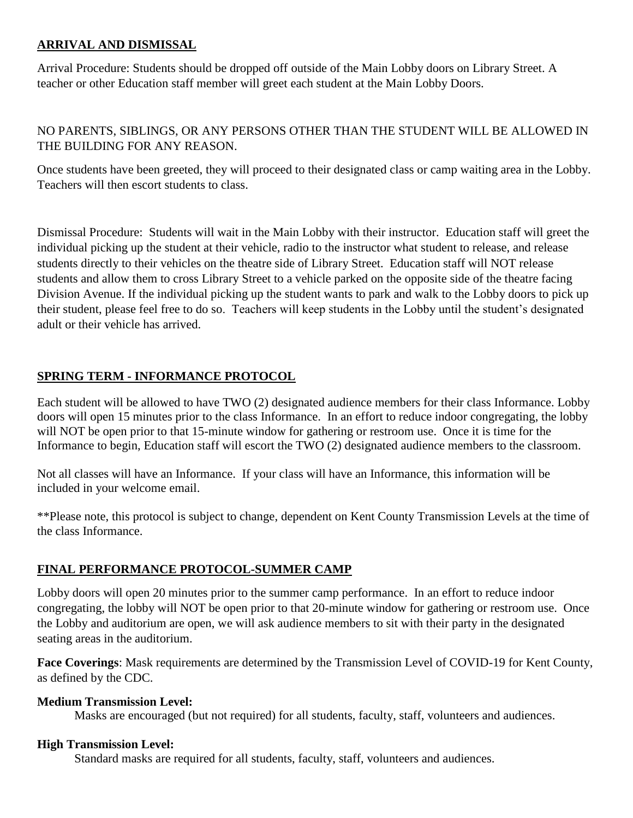#### **ARRIVAL AND DISMISSAL**

Arrival Procedure: Students should be dropped off outside of the Main Lobby doors on Library Street. A teacher or other Education staff member will greet each student at the Main Lobby Doors.

#### NO PARENTS, SIBLINGS, OR ANY PERSONS OTHER THAN THE STUDENT WILL BE ALLOWED IN THE BUILDING FOR ANY REASON.

Once students have been greeted, they will proceed to their designated class or camp waiting area in the Lobby. Teachers will then escort students to class.

Dismissal Procedure: Students will wait in the Main Lobby with their instructor. Education staff will greet the individual picking up the student at their vehicle, radio to the instructor what student to release, and release students directly to their vehicles on the theatre side of Library Street. Education staff will NOT release students and allow them to cross Library Street to a vehicle parked on the opposite side of the theatre facing Division Avenue. If the individual picking up the student wants to park and walk to the Lobby doors to pick up their student, please feel free to do so. Teachers will keep students in the Lobby until the student's designated adult or their vehicle has arrived.

#### **SPRING TERM - INFORMANCE PROTOCOL**

Each student will be allowed to have TWO (2) designated audience members for their class Informance. Lobby doors will open 15 minutes prior to the class Informance. In an effort to reduce indoor congregating, the lobby will NOT be open prior to that 15-minute window for gathering or restroom use. Once it is time for the Informance to begin, Education staff will escort the TWO (2) designated audience members to the classroom.

Not all classes will have an Informance. If your class will have an Informance, this information will be included in your welcome email.

\*\*Please note, this protocol is subject to change, dependent on Kent County Transmission Levels at the time of the class Informance.

#### **FINAL PERFORMANCE PROTOCOL-SUMMER CAMP**

Lobby doors will open 20 minutes prior to the summer camp performance. In an effort to reduce indoor congregating, the lobby will NOT be open prior to that 20-minute window for gathering or restroom use. Once the Lobby and auditorium are open, we will ask audience members to sit with their party in the designated seating areas in the auditorium.

**Face Coverings**: Mask requirements are determined by the Transmission Level of COVID-19 for Kent County, as defined by the CDC.

#### **Medium Transmission Level:**

Masks are encouraged (but not required) for all students, faculty, staff, volunteers and audiences.

#### **High Transmission Level:**

Standard masks are required for all students, faculty, staff, volunteers and audiences.